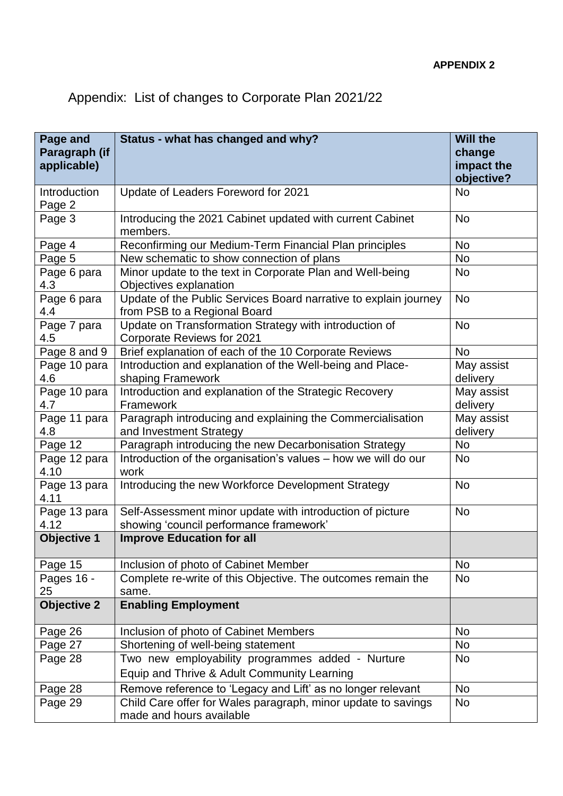## Appendix: List of changes to Corporate Plan 2021/22

| Page and               | Status - what has changed and why?                                                               | <b>Will the</b>        |
|------------------------|--------------------------------------------------------------------------------------------------|------------------------|
| Paragraph (if          |                                                                                                  | change                 |
| applicable)            |                                                                                                  | impact the             |
|                        |                                                                                                  | objective?             |
| Introduction<br>Page 2 | Update of Leaders Foreword for 2021                                                              | <b>No</b>              |
| Page 3                 | Introducing the 2021 Cabinet updated with current Cabinet<br>members.                            | <b>No</b>              |
| Page 4                 | Reconfirming our Medium-Term Financial Plan principles                                           | <b>No</b>              |
| Page 5                 | New schematic to show connection of plans                                                        | <b>No</b>              |
| Page 6 para<br>4.3     | Minor update to the text in Corporate Plan and Well-being<br>Objectives explanation              | <b>No</b>              |
| Page 6 para<br>4.4     | Update of the Public Services Board narrative to explain journey<br>from PSB to a Regional Board | <b>No</b>              |
| Page 7 para<br>4.5     | Update on Transformation Strategy with introduction of<br><b>Corporate Reviews for 2021</b>      | <b>No</b>              |
| Page 8 and 9           | Brief explanation of each of the 10 Corporate Reviews                                            | <b>No</b>              |
| Page 10 para           | Introduction and explanation of the Well-being and Place-                                        | May assist             |
| 4.6                    | shaping Framework                                                                                | delivery               |
| Page 10 para<br>4.7    | Introduction and explanation of the Strategic Recovery<br>Framework                              | May assist<br>delivery |
| Page 11 para           | Paragraph introducing and explaining the Commercialisation                                       | May assist             |
| 4.8                    | and Investment Strategy                                                                          | delivery               |
| Page 12                | Paragraph introducing the new Decarbonisation Strategy                                           | <b>No</b>              |
| Page 12 para<br>4.10   | Introduction of the organisation's values - how we will do our<br>work                           | No                     |
| Page 13 para<br>4.11   | Introducing the new Workforce Development Strategy                                               | <b>No</b>              |
| Page 13 para           | Self-Assessment minor update with introduction of picture                                        | <b>No</b>              |
| 4.12                   | showing 'council performance framework'                                                          |                        |
| <b>Objective 1</b>     | <b>Improve Education for all</b>                                                                 |                        |
| Page 15                | Inclusion of photo of Cabinet Member                                                             | No                     |
| Pages 16 -<br>25       | Complete re-write of this Objective. The outcomes remain the<br>same.                            | <b>No</b>              |
| <b>Objective 2</b>     | <b>Enabling Employment</b>                                                                       |                        |
| Page 26                | Inclusion of photo of Cabinet Members                                                            | <b>No</b>              |
| Page 27                | Shortening of well-being statement                                                               | <b>No</b>              |
| Page 28                | Two new employability programmes added - Nurture                                                 | No                     |
|                        | Equip and Thrive & Adult Community Learning                                                      |                        |
| Page 28                | Remove reference to 'Legacy and Lift' as no longer relevant                                      | <b>No</b>              |
| Page 29                | Child Care offer for Wales paragraph, minor update to savings<br>made and hours available        | <b>No</b>              |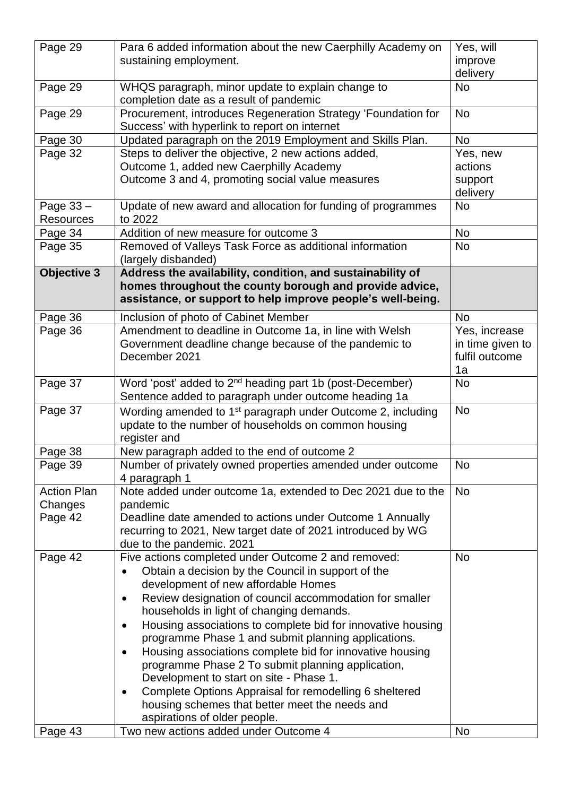| Page 29            | Para 6 added information about the new Caerphilly Academy on<br>sustaining employment.                         | Yes, will<br>improve |
|--------------------|----------------------------------------------------------------------------------------------------------------|----------------------|
|                    |                                                                                                                | delivery             |
| Page 29            | WHQS paragraph, minor update to explain change to<br>completion date as a result of pandemic                   | <b>No</b>            |
| Page 29            | Procurement, introduces Regeneration Strategy 'Foundation for<br>Success' with hyperlink to report on internet | <b>No</b>            |
| Page 30            | Updated paragraph on the 2019 Employment and Skills Plan.                                                      | <b>No</b>            |
| Page 32            | Steps to deliver the objective, 2 new actions added,                                                           | Yes, new             |
|                    | Outcome 1, added new Caerphilly Academy                                                                        | actions              |
|                    | Outcome 3 and 4, promoting social value measures                                                               | support<br>delivery  |
| Page 33 -          | Update of new award and allocation for funding of programmes                                                   | <b>No</b>            |
| <b>Resources</b>   | to 2022                                                                                                        |                      |
| Page 34            | Addition of new measure for outcome 3                                                                          | <b>No</b>            |
| Page 35            | Removed of Valleys Task Force as additional information                                                        | <b>No</b>            |
|                    | (largely disbanded)                                                                                            |                      |
| <b>Objective 3</b> | Address the availability, condition, and sustainability of                                                     |                      |
|                    | homes throughout the county borough and provide advice,                                                        |                      |
|                    | assistance, or support to help improve people's well-being.                                                    |                      |
| Page 36            | Inclusion of photo of Cabinet Member                                                                           | <b>No</b>            |
| Page 36            | Amendment to deadline in Outcome 1a, in line with Welsh                                                        | Yes, increase        |
|                    | Government deadline change because of the pandemic to                                                          | in time given to     |
|                    | December 2021                                                                                                  | fulfil outcome       |
|                    |                                                                                                                | 1a                   |
| Page 37            | Word 'post' added to 2 <sup>nd</sup> heading part 1b (post-December)                                           | <b>No</b>            |
|                    | Sentence added to paragraph under outcome heading 1a                                                           |                      |
| Page 37            | Wording amended to 1 <sup>st</sup> paragraph under Outcome 2, including                                        | <b>No</b>            |
|                    | update to the number of households on common housing                                                           |                      |
|                    | register and<br>New paragraph added to the end of outcome 2                                                    |                      |
| Page 38<br>Page 39 | Number of privately owned properties amended under outcome                                                     | <b>No</b>            |
|                    | 4 paragraph 1                                                                                                  |                      |
| <b>Action Plan</b> | Note added under outcome 1a, extended to Dec 2021 due to the                                                   | <b>No</b>            |
| Changes            | pandemic                                                                                                       |                      |
| Page 42            | Deadline date amended to actions under Outcome 1 Annually                                                      |                      |
|                    | recurring to 2021, New target date of 2021 introduced by WG                                                    |                      |
| Page 42            | due to the pandemic. 2021<br>Five actions completed under Outcome 2 and removed:                               | <b>No</b>            |
|                    | Obtain a decision by the Council in support of the<br>$\bullet$                                                |                      |
|                    | development of new affordable Homes                                                                            |                      |
|                    | Review designation of council accommodation for smaller<br>$\bullet$                                           |                      |
|                    | households in light of changing demands.                                                                       |                      |
|                    | Housing associations to complete bid for innovative housing<br>٠                                               |                      |
|                    | programme Phase 1 and submit planning applications.                                                            |                      |
|                    | Housing associations complete bid for innovative housing<br>$\bullet$                                          |                      |
|                    | programme Phase 2 To submit planning application,                                                              |                      |
|                    | Development to start on site - Phase 1.                                                                        |                      |
|                    | Complete Options Appraisal for remodelling 6 sheltered<br>$\bullet$                                            |                      |
|                    | housing schemes that better meet the needs and                                                                 |                      |
|                    | aspirations of older people.                                                                                   |                      |
| Page 43            | Two new actions added under Outcome 4                                                                          | No                   |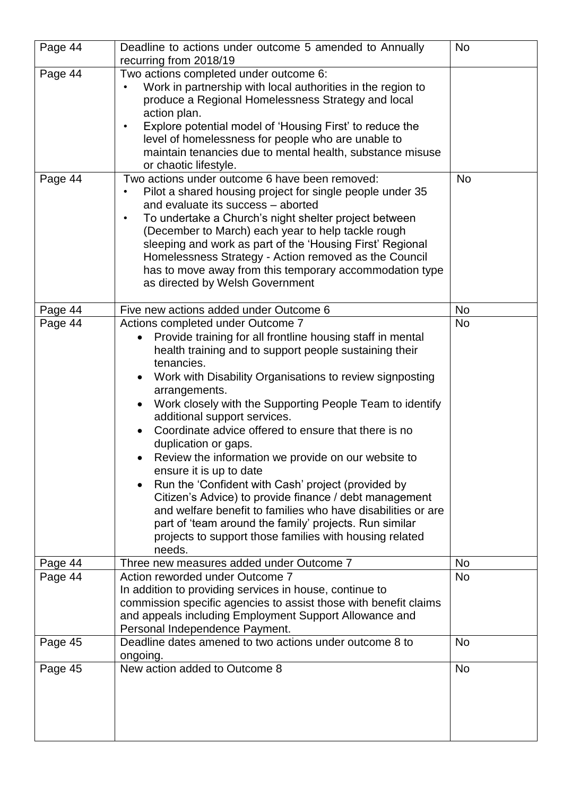| Page 44 | Deadline to actions under outcome 5 amended to Annually                                                                                                                                                                                                                                                                                                                                                                                                                                                                                                                                                                                                                                                                                                                                                                                                     | <b>No</b> |
|---------|-------------------------------------------------------------------------------------------------------------------------------------------------------------------------------------------------------------------------------------------------------------------------------------------------------------------------------------------------------------------------------------------------------------------------------------------------------------------------------------------------------------------------------------------------------------------------------------------------------------------------------------------------------------------------------------------------------------------------------------------------------------------------------------------------------------------------------------------------------------|-----------|
|         | recurring from 2018/19                                                                                                                                                                                                                                                                                                                                                                                                                                                                                                                                                                                                                                                                                                                                                                                                                                      |           |
| Page 44 | Two actions completed under outcome 6:<br>Work in partnership with local authorities in the region to<br>produce a Regional Homelessness Strategy and local<br>action plan.<br>Explore potential model of 'Housing First' to reduce the<br>$\bullet$<br>level of homelessness for people who are unable to<br>maintain tenancies due to mental health, substance misuse<br>or chaotic lifestyle.                                                                                                                                                                                                                                                                                                                                                                                                                                                            |           |
| Page 44 | Two actions under outcome 6 have been removed:<br>Pilot a shared housing project for single people under 35<br>and evaluate its success - aborted<br>To undertake a Church's night shelter project between<br>$\bullet$<br>(December to March) each year to help tackle rough<br>sleeping and work as part of the 'Housing First' Regional<br>Homelessness Strategy - Action removed as the Council<br>has to move away from this temporary accommodation type<br>as directed by Welsh Government                                                                                                                                                                                                                                                                                                                                                           | <b>No</b> |
| Page 44 | Five new actions added under Outcome 6                                                                                                                                                                                                                                                                                                                                                                                                                                                                                                                                                                                                                                                                                                                                                                                                                      | <b>No</b> |
| Page 44 | Actions completed under Outcome 7<br>Provide training for all frontline housing staff in mental<br>$\bullet$<br>health training and to support people sustaining their<br>tenancies.<br>Work with Disability Organisations to review signposting<br>arrangements.<br>Work closely with the Supporting People Team to identify<br>additional support services.<br>Coordinate advice offered to ensure that there is no<br>duplication or gaps.<br>Review the information we provide on our website to<br>ensure it is up to date<br>Run the 'Confident with Cash' project (provided by<br>$\bullet$<br>Citizen's Advice) to provide finance / debt management<br>and welfare benefit to families who have disabilities or are<br>part of 'team around the family' projects. Run similar<br>projects to support those families with housing related<br>needs. | <b>No</b> |
| Page 44 | Three new measures added under Outcome 7                                                                                                                                                                                                                                                                                                                                                                                                                                                                                                                                                                                                                                                                                                                                                                                                                    | No        |
| Page 44 | Action reworded under Outcome 7<br>In addition to providing services in house, continue to<br>commission specific agencies to assist those with benefit claims<br>and appeals including Employment Support Allowance and<br>Personal Independence Payment.                                                                                                                                                                                                                                                                                                                                                                                                                                                                                                                                                                                                  | <b>No</b> |
| Page 45 | Deadline dates amened to two actions under outcome 8 to<br>ongoing.                                                                                                                                                                                                                                                                                                                                                                                                                                                                                                                                                                                                                                                                                                                                                                                         | <b>No</b> |
| Page 45 | New action added to Outcome 8                                                                                                                                                                                                                                                                                                                                                                                                                                                                                                                                                                                                                                                                                                                                                                                                                               | <b>No</b> |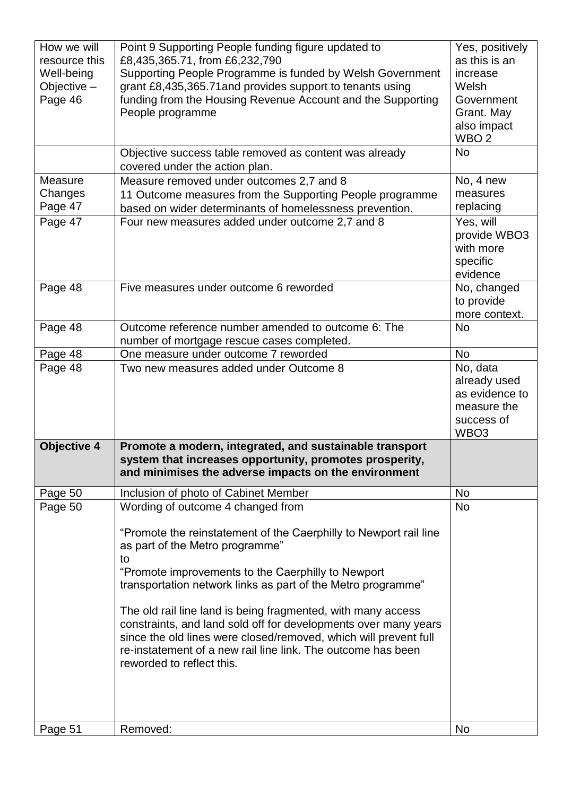| How we will<br>resource this<br>Well-being<br>Objective $-$<br>Page 46 | Point 9 Supporting People funding figure updated to<br>£8,435,365.71, from £6,232,790<br>Supporting People Programme is funded by Welsh Government<br>grant £8,435,365.71 and provides support to tenants using<br>funding from the Housing Revenue Account and the Supporting<br>People programme | Yes, positively<br>as this is an<br>increase<br>Welsh<br>Government<br>Grant. May<br>also impact<br>WBO <sub>2</sub> |
|------------------------------------------------------------------------|----------------------------------------------------------------------------------------------------------------------------------------------------------------------------------------------------------------------------------------------------------------------------------------------------|----------------------------------------------------------------------------------------------------------------------|
|                                                                        | Objective success table removed as content was already<br>covered under the action plan.                                                                                                                                                                                                           | <b>No</b>                                                                                                            |
| Measure<br>Changes<br>Page 47                                          | Measure removed under outcomes 2,7 and 8<br>11 Outcome measures from the Supporting People programme<br>based on wider determinants of homelessness prevention.                                                                                                                                    | No, 4 new<br>measures<br>replacing                                                                                   |
| Page 47                                                                | Four new measures added under outcome 2,7 and 8                                                                                                                                                                                                                                                    | Yes, will<br>provide WBO3<br>with more<br>specific<br>evidence                                                       |
| Page 48                                                                | Five measures under outcome 6 reworded                                                                                                                                                                                                                                                             | No, changed<br>to provide<br>more context.                                                                           |
| Page 48                                                                | Outcome reference number amended to outcome 6: The<br>number of mortgage rescue cases completed.                                                                                                                                                                                                   | <b>No</b>                                                                                                            |
| Page 48                                                                | One measure under outcome 7 reworded                                                                                                                                                                                                                                                               | <b>No</b>                                                                                                            |
| Page 48                                                                | Two new measures added under Outcome 8                                                                                                                                                                                                                                                             | No, data<br>already used<br>as evidence to<br>measure the<br>success of<br>WBO <sub>3</sub>                          |
| <b>Objective 4</b>                                                     | Promote a modern, integrated, and sustainable transport<br>system that increases opportunity, promotes prosperity,<br>and minimises the adverse impacts on the environment                                                                                                                         |                                                                                                                      |
| Page 50                                                                | Inclusion of photo of Cabinet Member                                                                                                                                                                                                                                                               | <b>No</b>                                                                                                            |
| Page 50                                                                | Wording of outcome 4 changed from<br>"Promote the reinstatement of the Caerphilly to Newport rail line<br>as part of the Metro programme"                                                                                                                                                          | <b>No</b>                                                                                                            |
|                                                                        | to<br>"Promote improvements to the Caerphilly to Newport<br>transportation network links as part of the Metro programme"                                                                                                                                                                           |                                                                                                                      |
|                                                                        | The old rail line land is being fragmented, with many access<br>constraints, and land sold off for developments over many years<br>since the old lines were closed/removed, which will prevent full<br>re-instatement of a new rail line link. The outcome has been<br>reworded to reflect this.   |                                                                                                                      |
| Page 51                                                                | Removed:                                                                                                                                                                                                                                                                                           | No                                                                                                                   |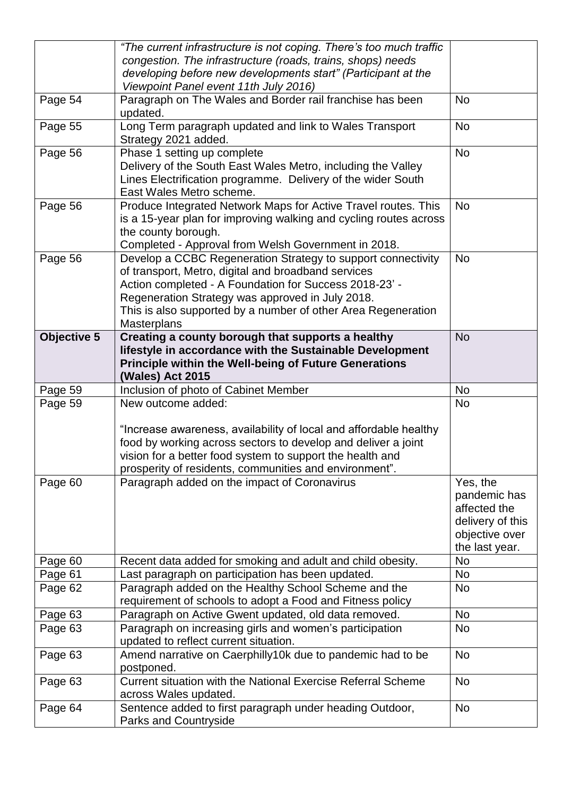|                    | "The current infrastructure is not coping. There's too much traffic                                                          |                                  |
|--------------------|------------------------------------------------------------------------------------------------------------------------------|----------------------------------|
|                    | congestion. The infrastructure (roads, trains, shops) needs<br>developing before new developments start" (Participant at the |                                  |
|                    | Viewpoint Panel event 11th July 2016)                                                                                        |                                  |
| Page 54            | Paragraph on The Wales and Border rail franchise has been                                                                    | <b>No</b>                        |
|                    | updated.                                                                                                                     |                                  |
| Page 55            | Long Term paragraph updated and link to Wales Transport                                                                      | <b>No</b>                        |
|                    | Strategy 2021 added.                                                                                                         |                                  |
| Page 56            | Phase 1 setting up complete                                                                                                  | <b>No</b>                        |
|                    | Delivery of the South East Wales Metro, including the Valley                                                                 |                                  |
|                    | Lines Electrification programme. Delivery of the wider South                                                                 |                                  |
|                    | East Wales Metro scheme.                                                                                                     |                                  |
| Page 56            | Produce Integrated Network Maps for Active Travel routes. This                                                               | <b>No</b>                        |
|                    | is a 15-year plan for improving walking and cycling routes across                                                            |                                  |
|                    | the county borough.                                                                                                          |                                  |
|                    | Completed - Approval from Welsh Government in 2018.                                                                          |                                  |
| Page 56            | Develop a CCBC Regeneration Strategy to support connectivity                                                                 | <b>No</b>                        |
|                    | of transport, Metro, digital and broadband services                                                                          |                                  |
|                    | Action completed - A Foundation for Success 2018-23' -<br>Regeneration Strategy was approved in July 2018.                   |                                  |
|                    | This is also supported by a number of other Area Regeneration                                                                |                                  |
|                    | <b>Masterplans</b>                                                                                                           |                                  |
| <b>Objective 5</b> | Creating a county borough that supports a healthy                                                                            | <b>No</b>                        |
|                    | lifestyle in accordance with the Sustainable Development                                                                     |                                  |
|                    | <b>Principle within the Well-being of Future Generations</b>                                                                 |                                  |
|                    | (Wales) Act 2015                                                                                                             |                                  |
|                    |                                                                                                                              |                                  |
| Page 59            | Inclusion of photo of Cabinet Member                                                                                         | <b>No</b>                        |
| Page 59            | New outcome added:                                                                                                           | No                               |
|                    |                                                                                                                              |                                  |
|                    | "Increase awareness, availability of local and affordable healthy                                                            |                                  |
|                    | food by working across sectors to develop and deliver a joint                                                                |                                  |
|                    | vision for a better food system to support the health and                                                                    |                                  |
|                    | prosperity of residents, communities and environment".                                                                       |                                  |
| Page 60            | Paragraph added on the impact of Coronavirus                                                                                 | Yes, the                         |
|                    |                                                                                                                              | pandemic has                     |
|                    |                                                                                                                              | affected the<br>delivery of this |
|                    |                                                                                                                              | objective over                   |
|                    |                                                                                                                              | the last year.                   |
| Page 60            | Recent data added for smoking and adult and child obesity.                                                                   | <b>No</b>                        |
| Page 61            | Last paragraph on participation has been updated.                                                                            | <b>No</b>                        |
| Page 62            | Paragraph added on the Healthy School Scheme and the                                                                         | <b>No</b>                        |
|                    | requirement of schools to adopt a Food and Fitness policy                                                                    |                                  |
| Page 63            | Paragraph on Active Gwent updated, old data removed.                                                                         | No                               |
| Page 63            | Paragraph on increasing girls and women's participation                                                                      | <b>No</b>                        |
|                    | updated to reflect current situation.                                                                                        | <b>No</b>                        |
| Page 63            | Amend narrative on Caerphilly10k due to pandemic had to be<br>postponed.                                                     |                                  |
| Page 63            | Current situation with the National Exercise Referral Scheme                                                                 | <b>No</b>                        |
|                    | across Wales updated.                                                                                                        |                                  |
| Page 64            | Sentence added to first paragraph under heading Outdoor,<br><b>Parks and Countryside</b>                                     | <b>No</b>                        |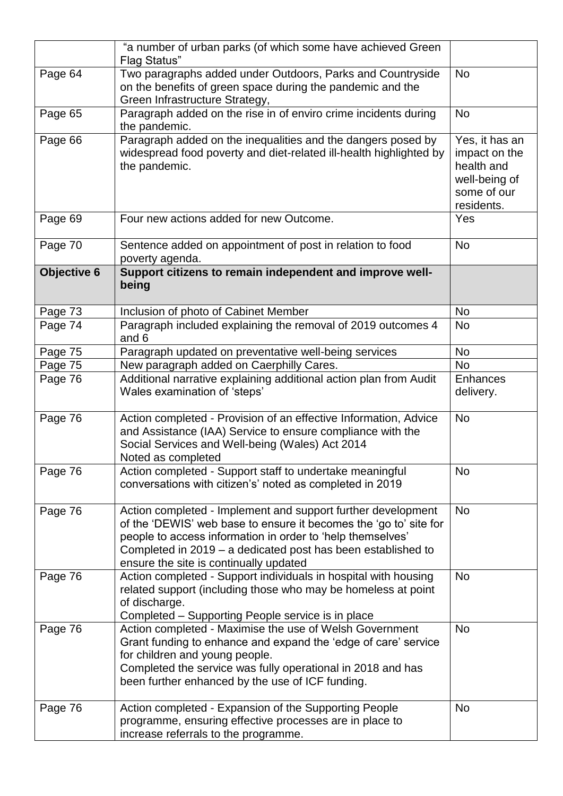|             | "a number of urban parks (of which some have achieved Green<br><b>Flag Status"</b>                                                                                                                                                                                                                        |                                                                                             |
|-------------|-----------------------------------------------------------------------------------------------------------------------------------------------------------------------------------------------------------------------------------------------------------------------------------------------------------|---------------------------------------------------------------------------------------------|
| Page 64     | Two paragraphs added under Outdoors, Parks and Countryside<br>on the benefits of green space during the pandemic and the<br>Green Infrastructure Strategy,                                                                                                                                                | <b>No</b>                                                                                   |
| Page 65     | Paragraph added on the rise in of enviro crime incidents during<br>the pandemic.                                                                                                                                                                                                                          | <b>No</b>                                                                                   |
| Page 66     | Paragraph added on the inequalities and the dangers posed by<br>widespread food poverty and diet-related ill-health highlighted by<br>the pandemic.                                                                                                                                                       | Yes, it has an<br>impact on the<br>health and<br>well-being of<br>some of our<br>residents. |
| Page 69     | Four new actions added for new Outcome.                                                                                                                                                                                                                                                                   | Yes                                                                                         |
| Page 70     | Sentence added on appointment of post in relation to food<br>poverty agenda.                                                                                                                                                                                                                              | <b>No</b>                                                                                   |
| Objective 6 | Support citizens to remain independent and improve well-<br>being                                                                                                                                                                                                                                         |                                                                                             |
| Page 73     | Inclusion of photo of Cabinet Member                                                                                                                                                                                                                                                                      | <b>No</b>                                                                                   |
| Page 74     | Paragraph included explaining the removal of 2019 outcomes 4<br>and 6                                                                                                                                                                                                                                     | N <sub>o</sub>                                                                              |
| Page 75     | Paragraph updated on preventative well-being services                                                                                                                                                                                                                                                     | <b>No</b>                                                                                   |
| Page 75     | New paragraph added on Caerphilly Cares.                                                                                                                                                                                                                                                                  | <b>No</b>                                                                                   |
| Page 76     | Additional narrative explaining additional action plan from Audit<br>Wales examination of 'steps'                                                                                                                                                                                                         | <b>Enhances</b><br>delivery.                                                                |
| Page 76     | Action completed - Provision of an effective Information, Advice<br>and Assistance (IAA) Service to ensure compliance with the<br>Social Services and Well-being (Wales) Act 2014<br>Noted as completed                                                                                                   | <b>No</b>                                                                                   |
| Page 76     | Action completed - Support staff to undertake meaningful<br>conversations with citizen's' noted as completed in 2019                                                                                                                                                                                      | No                                                                                          |
| Page 76     | Action completed - Implement and support further development<br>of the 'DEWIS' web base to ensure it becomes the 'go to' site for<br>people to access information in order to 'help themselves'<br>Completed in 2019 - a dedicated post has been established to<br>ensure the site is continually updated | <b>No</b>                                                                                   |
| Page 76     | Action completed - Support individuals in hospital with housing<br>related support (including those who may be homeless at point<br>of discharge.<br>Completed - Supporting People service is in place                                                                                                    | <b>No</b>                                                                                   |
| Page 76     | Action completed - Maximise the use of Welsh Government<br>Grant funding to enhance and expand the 'edge of care' service<br>for children and young people.<br>Completed the service was fully operational in 2018 and has<br>been further enhanced by the use of ICF funding.                            | <b>No</b>                                                                                   |
| Page 76     | Action completed - Expansion of the Supporting People<br>programme, ensuring effective processes are in place to<br>increase referrals to the programme.                                                                                                                                                  | <b>No</b>                                                                                   |